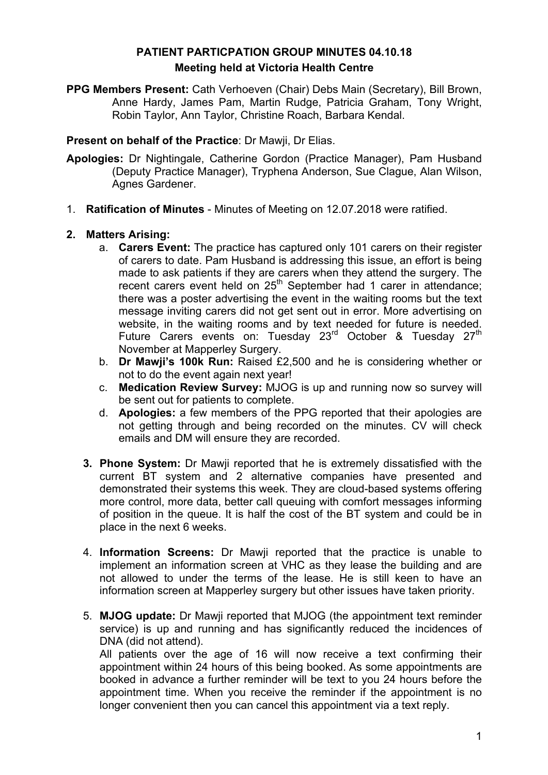## **PATIENT PARTICPATION GROUP MINUTES 04.10.18 Meeting held at Victoria Health Centre**

**PPG Members Present:** Cath Verhoeven (Chair) Debs Main (Secretary), Bill Brown, Anne Hardy, James Pam, Martin Rudge, Patricia Graham, Tony Wright, Robin Taylor, Ann Taylor, Christine Roach, Barbara Kendal.

## **Present on behalf of the Practice**: Dr Mawji, Dr Elias.

**Apologies:** Dr Nightingale, Catherine Gordon (Practice Manager), Pam Husband (Deputy Practice Manager), Tryphena Anderson, Sue Clague, Alan Wilson, Agnes Gardener.

1. **Ratification of Minutes** - Minutes of Meeting on 12.07.2018 were ratified.

## **2. Matters Arising:**

- a. **Carers Event:** The practice has captured only 101 carers on their register of carers to date. Pam Husband is addressing this issue, an effort is being made to ask patients if they are carers when they attend the surgery. The recent carers event held on  $25<sup>th</sup>$  September had 1 carer in attendance; there was a poster advertising the event in the waiting rooms but the text message inviting carers did not get sent out in error. More advertising on website, in the waiting rooms and by text needed for future is needed. Future Carers events on: Tuesday 23<sup>rd</sup> October & Tuesday 27<sup>th</sup> November at Mapperley Surgery.
- b. **Dr Mawji's 100k Run:** Raised £2,500 and he is considering whether or not to do the event again next year!
- c. **Medication Review Survey:** MJOG is up and running now so survey will be sent out for patients to complete.
- d. **Apologies:** a few members of the PPG reported that their apologies are not getting through and being recorded on the minutes. CV will check emails and DM will ensure they are recorded.
- **3. Phone System:** Dr Mawji reported that he is extremely dissatisfied with the current BT system and 2 alternative companies have presented and demonstrated their systems this week. They are cloud-based systems offering more control, more data, better call queuing with comfort messages informing of position in the queue. It is half the cost of the BT system and could be in place in the next 6 weeks.
- 4. **Information Screens:** Dr Mawji reported that the practice is unable to implement an information screen at VHC as they lease the building and are not allowed to under the terms of the lease. He is still keen to have an information screen at Mapperley surgery but other issues have taken priority.
- 5. **MJOG update:** Dr Mawji reported that MJOG (the appointment text reminder service) is up and running and has significantly reduced the incidences of DNA (did not attend).

All patients over the age of 16 will now receive a text confirming their appointment within 24 hours of this being booked. As some appointments are booked in advance a further reminder will be text to you 24 hours before the appointment time. When you receive the reminder if the appointment is no longer convenient then you can cancel this appointment via a text reply.